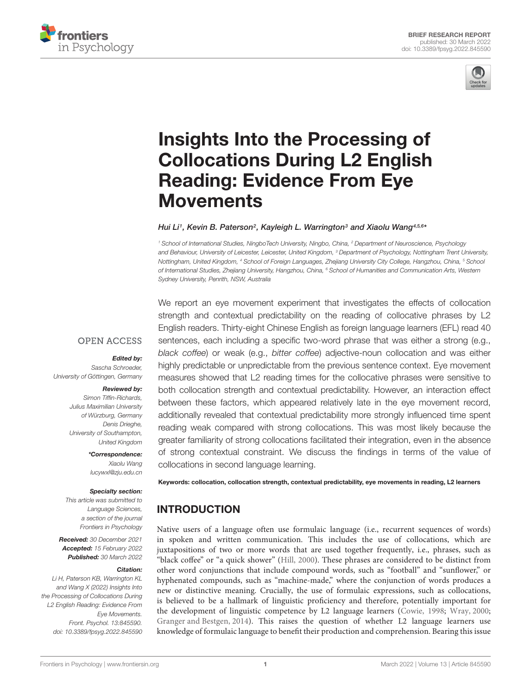



# Insights Into the Processing of [Collocations During L2 English](https://www.frontiersin.org/articles/10.3389/fpsyg.2022.845590/full) Reading: Evidence From Eye Movements

Hui Li1, Kevin B. Paterson<sup>2</sup>, Kayleigh L. Warrington<sup>3</sup> and Xiaolu Wang<sup>4,5,6</sup>\*

<sup>1</sup> School of International Studies, NingboTech University, Ningbo, China, <sup>2</sup> Department of Neuroscience, Psychology and Behaviour, University of Leicester, Leicester, United Kingdom, <sup>3</sup> Department of Psychology, Nottingham Trent University, Nottingham, United Kingdom, <sup>4</sup> School of Foreign Languages, Zhejiang University City College, Hangzhou, China, <sup>5</sup> School of International Studies, Zhejiang University, Hangzhou, China, <sup>6</sup> School of Humanities and Communication Arts, Western Sydney University, Penrith, NSW, Australia

**OPEN ACCESS** 

## Edited by:

Sascha Schroeder, University of Göttingen, Germany

#### Reviewed by:

Simon Tiffin-Richards, Julius Maximilian University of Würzburg, Germany Denis Drieghe, University of Southampton, United Kingdom

> \*Correspondence: Xiaolu Wang lucywxl@zju.edu.cn

## Specialty section:

This article was submitted to Language Sciences, a section of the journal Frontiers in Psychology

Received: 30 December 2021 Accepted: 15 February 2022 Published: 30 March 2022

## Citation:

Li H, Paterson KB, Warrington KL and Wang X (2022) Insights Into the Processing of Collocations During L2 English Reading: Evidence From Eye Movements. Front. Psychol. 13:845590. doi: [10.3389/fpsyg.2022.845590](https://doi.org/10.3389/fpsyg.2022.845590) We report an eye movement experiment that investigates the effects of collocation strength and contextual predictability on the reading of collocative phrases by L2 English readers. Thirty-eight Chinese English as foreign language learners (EFL) read 40 sentences, each including a specific two-word phrase that was either a strong (e.g., black coffee) or weak (e.g., bitter coffee) adjective-noun collocation and was either highly predictable or unpredictable from the previous sentence context. Eye movement measures showed that L2 reading times for the collocative phrases were sensitive to both collocation strength and contextual predictability. However, an interaction effect between these factors, which appeared relatively late in the eye movement record, additionally revealed that contextual predictability more strongly influenced time spent reading weak compared with strong collocations. This was most likely because the greater familiarity of strong collocations facilitated their integration, even in the absence of strong contextual constraint. We discuss the findings in terms of the value of collocations in second language learning.

Keywords: collocation, collocation strength, contextual predictability, eye movements in reading, L2 learners

# **INTRODUCTION**

Native users of a language often use formulaic language (i.e., recurrent sequences of words) in spoken and written communication. This includes the use of collocations, which are juxtapositions of two or more words that are used together frequently, i.e., phrases, such as "black coffee" or "a quick shower" [\(Hill,](#page-6-0) [2000\)](#page-6-0). These phrases are considered to be distinct from other word conjunctions that include compound words, such as "football" and "sunflower," or hyphenated compounds, such as "machine-made," where the conjunction of words produces a new or distinctive meaning. Crucially, the use of formulaic expressions, such as collocations, is believed to be a hallmark of linguistic proficiency and therefore, potentially important for the development of linguistic competence by L2 language learners [\(Cowie,](#page-6-1) [1998;](#page-6-1) [Wray,](#page-7-0) [2000;](#page-7-0) [Granger and Bestgen,](#page-6-2) [2014\)](#page-6-2). This raises the question of whether L2 language learners use knowledge of formulaic language to benefit their production and comprehension. Bearing this issue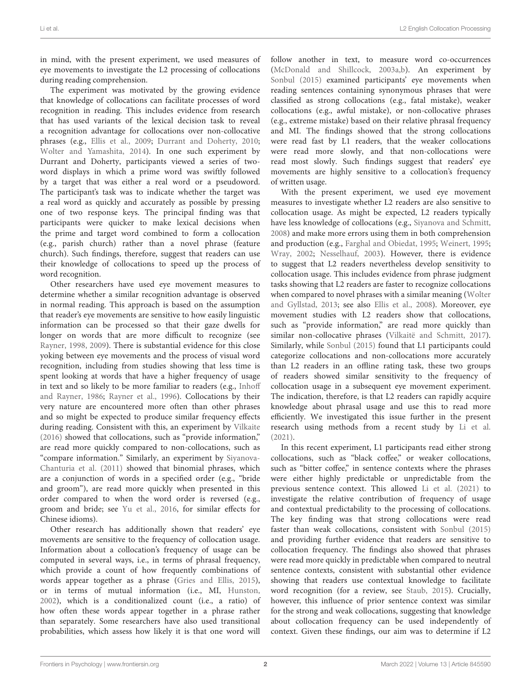in mind, with the present experiment, we used measures of eye movements to investigate the L2 processing of collocations during reading comprehension.

The experiment was motivated by the growing evidence that knowledge of collocations can facilitate processes of word recognition in reading. This includes evidence from research that has used variants of the lexical decision task to reveal a recognition advantage for collocations over non-collocative phrases (e.g., [Ellis et al.,](#page-6-3) [2009;](#page-6-3) [Durrant and Doherty,](#page-6-4) [2010;](#page-6-4) [Wolter and Yamashita,](#page-7-1) [2014\)](#page-7-1). In one such experiment by Durrant and Doherty, participants viewed a series of twoword displays in which a prime word was swiftly followed by a target that was either a real word or a pseudoword. The participant's task was to indicate whether the target was a real word as quickly and accurately as possible by pressing one of two response keys. The principal finding was that participants were quicker to make lexical decisions when the prime and target word combined to form a collocation (e.g., parish church) rather than a novel phrase (feature church). Such findings, therefore, suggest that readers can use their knowledge of collocations to speed up the process of word recognition.

Other researchers have used eye movement measures to determine whether a similar recognition advantage is observed in normal reading. This approach is based on the assumption that reader's eye movements are sensitive to how easily linguistic information can be processed so that their gaze dwells for longer on words that are more difficult to recognize (see [Rayner,](#page-6-5) [1998,](#page-6-5) [2009\)](#page-6-6). There is substantial evidence for this close yoking between eye movements and the process of visual word recognition, including from studies showing that less time is spent looking at words that have a higher frequency of usage in text and so likely to be more familiar to readers (e.g., [Inhoff](#page-6-7) [and Rayner,](#page-6-7) [1986;](#page-6-7) [Rayner et al.,](#page-6-8) [1996\)](#page-6-8). Collocations by their very nature are encountered more often than other phrases and so might be expected to produce similar frequency effects during reading. Consistent with this, an experiment by [Vilkaite](#page-7-2) [\(2016\)](#page-7-2) showed that collocations, such as "provide information," are read more quickly compared to non-collocations, such as "compare information." Similarly, an experiment by [Siyanova-](#page-7-3)[Chanturia et al.](#page-7-3) [\(2011\)](#page-7-3) showed that binomial phrases, which are a conjunction of words in a specified order (e.g., "bride and groom"), are read more quickly when presented in this order compared to when the word order is reversed (e.g., groom and bride; see [Yu et al.,](#page-7-4) [2016,](#page-7-4) for similar effects for Chinese idioms).

Other research has additionally shown that readers' eye movements are sensitive to the frequency of collocation usage. Information about a collocation's frequency of usage can be computed in several ways, i.e., in terms of phrasal frequency, which provide a count of how frequently combinations of words appear together as a phrase [\(Gries and Ellis,](#page-6-9) [2015\)](#page-6-9), or in terms of mutual information (i.e., MI, [Hunston,](#page-6-10) [2002\)](#page-6-10), which is a conditionalized count (i.e., a ratio) of how often these words appear together in a phrase rather than separately. Some researchers have also used transitional probabilities, which assess how likely it is that one word will

follow another in text, to measure word co-occurrences [\(McDonald and Shillcock,](#page-6-11) [2003a,](#page-6-11)[b\)](#page-6-12). An experiment by [Sonbul](#page-7-5) [\(2015\)](#page-7-5) examined participants' eye movements when reading sentences containing synonymous phrases that were classified as strong collocations (e.g., fatal mistake), weaker collocations (e.g., awful mistake), or non-collocative phrases (e.g., extreme mistake) based on their relative phrasal frequency and MI. The findings showed that the strong collocations were read fast by L1 readers, that the weaker collocations were read more slowly, and that non-collocations were read most slowly. Such findings suggest that readers' eye movements are highly sensitive to a collocation's frequency of written usage.

With the present experiment, we used eye movement measures to investigate whether L2 readers are also sensitive to collocation usage. As might be expected, L2 readers typically have less knowledge of collocations (e.g., [Siyanova and Schmitt,](#page-6-13) [2008\)](#page-6-13) and make more errors using them in both comprehension and production (e.g., [Farghal and Obiedat,](#page-6-14) [1995;](#page-6-14) [Weinert,](#page-7-6) [1995;](#page-7-6) [Wray,](#page-7-7) [2002;](#page-7-7) [Nesselhauf,](#page-6-15) [2003\)](#page-6-15). However, there is evidence to suggest that L2 readers nevertheless develop sensitivity to collocation usage. This includes evidence from phrase judgment tasks showing that L2 readers are faster to recognize collocations when compared to novel phrases with a similar meaning [\(Wolter](#page-7-8) [and Gyllstad,](#page-7-8) [2013;](#page-7-8) see also [Ellis et al.,](#page-6-16) [2008\)](#page-6-16). Moreover, eye movement studies with L2 readers show that collocations, such as "provide information," are read more quickly than similar non-collocative phrases [\(Vilkaitë and Schmitt,](#page-7-9) [2017\)](#page-7-9). Similarly, while [Sonbul](#page-7-5) [\(2015\)](#page-7-5) found that L1 participants could categorize collocations and non-collocations more accurately than L2 readers in an offline rating task, these two groups of readers showed similar sensitivity to the frequency of collocation usage in a subsequent eye movement experiment. The indication, therefore, is that L2 readers can rapidly acquire knowledge about phrasal usage and use this to read more efficiently. We investigated this issue further in the present research using methods from a recent study by [Li et al.](#page-6-17) [\(2021\)](#page-6-17).

In this recent experiment, L1 participants read either strong collocations, such as "black coffee," or weaker collocations, such as "bitter coffee," in sentence contexts where the phrases were either highly predictable or unpredictable from the previous sentence context. This allowed [Li et al.](#page-6-17) [\(2021\)](#page-6-17) to investigate the relative contribution of frequency of usage and contextual predictability to the processing of collocations. The key finding was that strong collocations were read faster than weak collocations, consistent with [Sonbul](#page-7-5) [\(2015\)](#page-7-5) and providing further evidence that readers are sensitive to collocation frequency. The findings also showed that phrases were read more quickly in predictable when compared to neutral sentence contexts, consistent with substantial other evidence showing that readers use contextual knowledge to facilitate word recognition (for a review, see [Staub,](#page-7-10) [2015\)](#page-7-10). Crucially, however, this influence of prior sentence context was similar for the strong and weak collocations, suggesting that knowledge about collocation frequency can be used independently of context. Given these findings, our aim was to determine if L2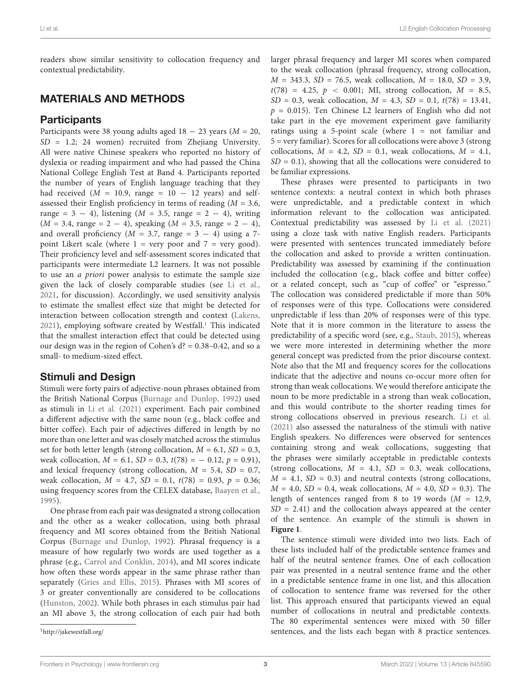readers show similar sensitivity to collocation frequency and contextual predictability.

# MATERIALS AND METHODS

# **Participants**

Participants were 38 young adults aged  $18 - 23$  years ( $M = 20$ , SD = 1.2; 24 women) recruited from Zhejiang University. All were native Chinese speakers who reported no history of dyslexia or reading impairment and who had passed the China National College English Test at Band 4. Participants reported the number of years of English language teaching that they had received ( $M = 10.9$ , range =  $10 - 12$  years) and selfassessed their English proficiency in terms of reading  $(M = 3.6,$ range = 3 − 4), listening ( $M = 3.5$ , range = 2 − 4), writing  $(M = 3.4, \text{ range} = 2 - 4), \text{ speaking } (M = 3.5, \text{ range} = 2 - 4),$ and overall proficiency ( $M = 3.7$ , range = 3 – 4) using a 7point Likert scale (where  $1 =$  very poor and  $7 =$  very good). Their proficiency level and self-assessment scores indicated that participants were intermediate L2 learners. It was not possible to use an a priori power analysis to estimate the sample size given the lack of closely comparable studies (see [Li et al.,](#page-6-17) [2021,](#page-6-17) for discussion). Accordingly, we used sensitivity analysis to estimate the smallest effect size that might be detected for interaction between collocation strength and context [\(Lakens,](#page-6-18) [2021\)](#page-6-18), employing software created by Westfall.<sup>[1](#page-2-0)</sup> This indicated that the smallest interaction effect that could be detected using our design was in the region of Cohen's  $d$ ? = 0.38–0.42, and so a small- to medium-sized effect.

# Stimuli and Design

Stimuli were forty pairs of adjective-noun phrases obtained from the British National Corpus [\(Burnage and Dunlop,](#page-6-19) [1992\)](#page-6-19) used as stimuli in [Li et al.](#page-6-17) [\(2021\)](#page-6-17) experiment. Each pair combined a different adjective with the same noun (e.g., black coffee and bitter coffee). Each pair of adjectives differed in length by no more than one letter and was closely matched across the stimulus set for both letter length (strong collocation,  $M = 6.1$ ,  $SD = 0.3$ , weak collocation,  $M = 6.1$ ,  $SD = 0.3$ ,  $t(78) = -0.12$ ,  $p = 0.91$ ), and lexical frequency (strong collocation,  $M = 5.4$ ,  $SD = 0.7$ , weak collocation,  $M = 4.7$ ,  $SD = 0.1$ ,  $t(78) = 0.93$ ,  $p = 0.36$ ; using frequency scores from the CELEX database, [Baayen et al.,](#page-6-20) [1995\)](#page-6-20).

One phrase from each pair was designated a strong collocation and the other as a weaker collocation, using both phrasal frequency and MI scores obtained from the British National Corpus [\(Burnage and Dunlop,](#page-6-19) [1992\)](#page-6-19). Phrasal frequency is a measure of how regularly two words are used together as a phrase (e.g., [Carrol and Conklin,](#page-6-21) [2014\)](#page-6-21), and MI scores indicate how often these words appear in the same phrase rather than separately [\(Gries and Ellis,](#page-6-9) [2015\)](#page-6-9). Phrases with MI scores of 3 or greater conventionally are considered to be collocations [\(Hunston,](#page-6-10) [2002\)](#page-6-10). While both phrases in each stimulus pair had an MI above 3, the strong collocation of each pair had both

<span id="page-2-0"></span><sup>1</sup><http://jakewestfall.org/>

larger phrasal frequency and larger MI scores when compared to the weak collocation (phrasal frequency, strong collocation,  $M = 343.3, SD = 76.5$ , weak collocation,  $M = 18.0, SD = 3.9$ ,  $t(78) = 4.25, p < 0.001;$  MI, strong collocation,  $M = 8.5$ ,  $SD = 0.3$ , weak collocation,  $M = 4.3$ ,  $SD = 0.1$ ,  $t(78) = 13.41$ ,  $p = 0.015$ ). Ten Chinese L2 learners of English who did not take part in the eye movement experiment gave familiarity ratings using a 5-point scale (where 1 = not familiar and 5 = very familiar). Scores for all collocations were above 3 (strong collocations,  $M = 4.2$ ,  $SD = 0.1$ , weak collocations,  $M = 4.1$ ,  $SD = 0.1$ ), showing that all the collocations were considered to be familiar expressions.

These phrases were presented to participants in two sentence contexts: a neutral context in which both phrases were unpredictable, and a predictable context in which information relevant to the collocation was anticipated. Contextual predictability was assessed by [Li et al.](#page-6-17) [\(2021\)](#page-6-17) using a cloze task with native English readers. Participants were presented with sentences truncated immediately before the collocation and asked to provide a written continuation. Predictability was assessed by examining if the continuation included the collocation (e.g., black coffee and bitter coffee) or a related concept, such as "cup of coffee" or "espresso." The collocation was considered predictable if more than 50% of responses were of this type. Collocations were considered unpredictable if less than 20% of responses were of this type. Note that it is more common in the literature to assess the predictability of a specific word (see, e.g., [Staub,](#page-7-10) [2015\)](#page-7-10), whereas we were more interested in determining whether the more general concept was predicted from the prior discourse context. Note also that the MI and frequency scores for the collocations indicate that the adjective and nouns co-occur more often for strong than weak collocations. We would therefore anticipate the noun to be more predictable in a strong than weak collocation, and this would contribute to the shorter reading times for strong collocations observed in previous research. [Li et al.](#page-6-17) [\(2021\)](#page-6-17) also assessed the naturalness of the stimuli with native English speakers. No differences were observed for sentences containing strong and weak collocations, suggesting that the phrases were similarly acceptable in predictable contexts (strong collocations,  $M = 4.1$ ,  $SD = 0.3$ , weak collocations,  $M = 4.1$ ,  $SD = 0.3$ ) and neutral contexts (strong collocations,  $M = 4.0$ ,  $SD = 0.4$ , weak collocations,  $M = 4.0$ ,  $SD = 0.3$ ). The length of sentences ranged from 8 to 19 words  $(M = 12.9,$  $SD = 2.41$ ) and the collocation always appeared at the center of the sentence. An example of the stimuli is shown in **[Figure 1](#page-3-0)**.

The sentence stimuli were divided into two lists. Each of these lists included half of the predictable sentence frames and half of the neutral sentence frames. One of each collocation pair was presented in a neutral sentence frame and the other in a predictable sentence frame in one list, and this allocation of collocation to sentence frame was reversed for the other list. This approach ensured that participants viewed an equal number of collocations in neutral and predictable contexts. The 80 experimental sentences were mixed with 50 filler sentences, and the lists each began with 8 practice sentences.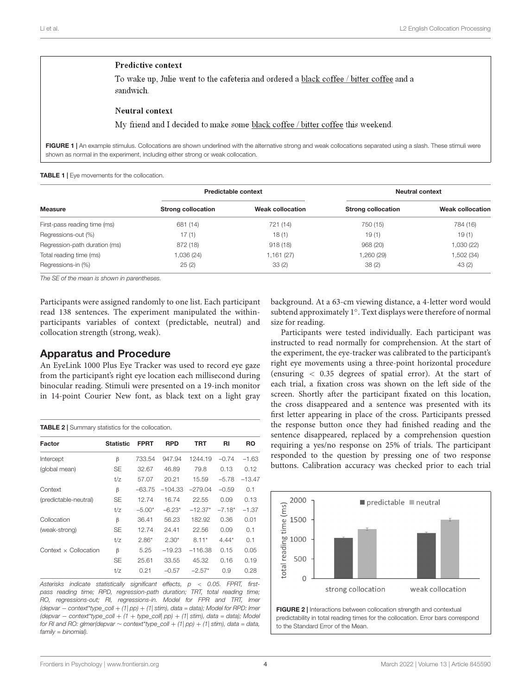## Predictive context

To wake up, Julie went to the cafeteria and ordered a black coffee / bitter coffee and a sandwich

#### **Neutral** context

My friend and I decided to make some black coffee / bitter coffee this weekend.

<span id="page-3-0"></span>FIGURE 1 | An example stimulus. Collocations are shown underlined with the alternative strong and weak collocations separated using a slash. These stimuli were shown as normal in the experiment, including either strong or weak collocation.

<span id="page-3-1"></span>TABLE 1 | Eye movements for the collocation.

| <b>Measure</b>                | Predictable context       |                         | Neutral context           |                         |
|-------------------------------|---------------------------|-------------------------|---------------------------|-------------------------|
|                               | <b>Strong collocation</b> | <b>Weak collocation</b> | <b>Strong collocation</b> | <b>Weak collocation</b> |
| First-pass reading time (ms)  | 681 (14)                  | 721 (14)                | 750 (15)                  | 784 (16)                |
| Regressions-out (%)           | 17(1)                     | 18(1)                   | 19(1)                     | 19(1)                   |
| Regression-path duration (ms) | 872 (18)                  | 918(18)                 | 968 (20)                  | 1,030 (22)              |
| Total reading time (ms)       | 1,036 (24)                | 1,161(27)               | 1,260 (29)                | 1,502 (34)              |
| Regressions-in (%)            | 25(2)                     | 33(2)                   | 38(2)                     | 43(2)                   |

The SE of the mean is shown in parentheses.

Participants were assigned randomly to one list. Each participant read 138 sentences. The experiment manipulated the withinparticipants variables of context (predictable, neutral) and collocation strength (strong, weak).

## Apparatus and Procedure

An EyeLink 1000 Plus Eye Tracker was used to record eye gaze from the participant's right eye location each millisecond during binocular reading. Stimuli were presented on a 19-inch monitor in 14-point Courier New font, as black text on a light gray

<span id="page-3-2"></span>TABLE 2 | Summary statistics for the collocation. Factor Statistic FPRT RPD TRT RI RO Intercept β 733.54 947.94 1244.19 –0.74 –1.63 (global mean) SE 32.67 46.89 79.8 0.13 0.12 t/z 57.07 20.21 15.59 –5.78 –13.47 Context β –63.75 –104.33 –279.04 –0.59 0.1 (predictable-neutral) SE 12.74 16.74 22.55 0.09 0.13 t/z  $-5.00^*$   $-6.23^*$   $-12.37^*$   $-7.18^*$   $-1.37$ Collocation β 36.41 56.23 182.92 0.36 0.01 (weak-strong) SE 12.74 24.41 22.56 0.09 0.1 t/z 2.86\* 2.30\* 8.11\* 4.44\* 0.1 Context × Collocation  $β$  5.25 –19.23 –116.38 0.15 0.05 SE 25.61 33.55 45.32 0.16 0.19 t/z 0.21 –0.57 –2.57\* 0.9 0.28

Asterisks indicate statistically significant effects,  $p < 0.05$ . FPRT, firstpass reading time; RPD, regression-path duration; TRT, total reading time; RO, regressions-out; RI, regressions-in. Model for FPR and TRT, lmer (depvar − context\*type\_coll + (1| pp) + (1| stim), data = data); Model for RPD: lmer (depvar − context\*type\_coll + (1 + type\_coll| pp) + (1| stim), data = data); Model for RI and RO: glmer(depvar  $\sim$  context\*type\_coll + (1| pp) + (1| stim), data = data, family = binomial).

background. At a 63-cm viewing distance, a 4-letter word would subtend approximately 1◦ . Text displays were therefore of normal size for reading.

Participants were tested individually. Each participant was instructed to read normally for comprehension. At the start of the experiment, the eye-tracker was calibrated to the participant's right eye movements using a three-point horizontal procedure (ensuring < 0.35 degrees of spatial error). At the start of each trial, a fixation cross was shown on the left side of the screen. Shortly after the participant fixated on this location, the cross disappeared and a sentence was presented with its first letter appearing in place of the cross. Participants pressed the response button once they had finished reading and the sentence disappeared, replaced by a comprehension question requiring a yes/no response on 25% of trials. The participant responded to the question by pressing one of two response buttons. Calibration accuracy was checked prior to each trial



<span id="page-3-3"></span>predictability in total reading times for the collocation. Error bars correspond to the Standard Error of the Mean.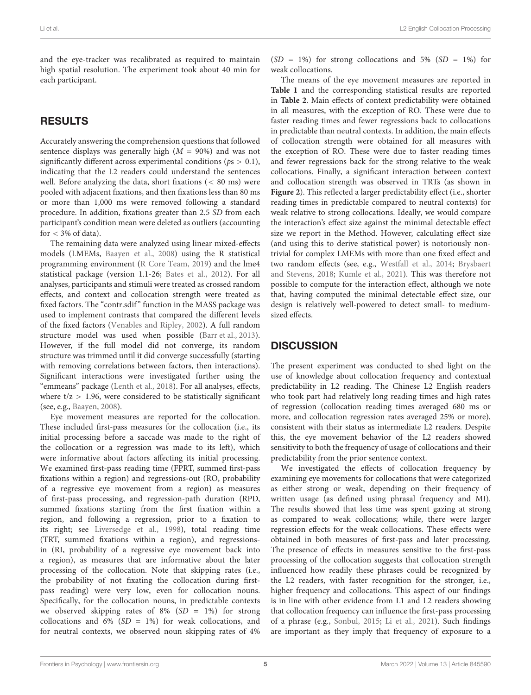and the eye-tracker was recalibrated as required to maintain high spatial resolution. The experiment took about 40 min for each participant.

# RESULTS

Accurately answering the comprehension questions that followed sentence displays was generally high  $(M = 90\%)$  and was not significantly different across experimental conditions ( $ps > 0.1$ ), indicating that the L2 readers could understand the sentences well. Before analyzing the data, short fixations (< 80 ms) were pooled with adjacent fixations, and then fixations less than 80 ms or more than 1,000 ms were removed following a standard procedure. In addition, fixations greater than 2.5 SD from each participant's condition mean were deleted as outliers (accounting for  $<$  3% of data).

The remaining data were analyzed using linear mixed-effects models (LMEMs, [Baayen et al.,](#page-6-22) [2008\)](#page-6-22) using the R statistical programming environment [\(R Core Team,](#page-6-23) [2019\)](#page-6-23) and the lme4 statistical package (version 1.1-26; [Bates et al.,](#page-6-24) [2012\)](#page-6-24). For all analyses, participants and stimuli were treated as crossed random effects, and context and collocation strength were treated as fixed factors. The "contr.sdif" function in the MASS package was used to implement contrasts that compared the different levels of the fixed factors [\(Venables and Ripley,](#page-7-11) [2002\)](#page-7-11). A full random structure model was used when possible [\(Barr et al.,](#page-6-25) [2013\)](#page-6-25). However, if the full model did not converge, its random structure was trimmed until it did converge successfully (starting with removing correlations between factors, then interactions). Significant interactions were investigated further using the "emmeans" package [\(Lenth et al.,](#page-6-26) [2018\)](#page-6-26). For all analyses, effects, where  $t/z > 1.96$ , were considered to be statistically significant (see, e.g., [Baayen,](#page-6-27) [2008\)](#page-6-27).

Eye movement measures are reported for the collocation. These included first-pass measures for the collocation (i.e., its initial processing before a saccade was made to the right of the collocation or a regression was made to its left), which were informative about factors affecting its initial processing. We examined first-pass reading time (FPRT, summed first-pass fixations within a region) and regressions-out (RO, probability of a regressive eye movement from a region) as measures of first-pass processing, and regression-path duration (RPD, summed fixations starting from the first fixation within a region, and following a regression, prior to a fixation to its right; see [Liversedge et al.,](#page-6-28) [1998\)](#page-6-28), total reading time (TRT, summed fixations within a region), and regressionsin (RI, probability of a regressive eye movement back into a region), as measures that are informative about the later processing of the collocation. Note that skipping rates (i.e., the probability of not fixating the collocation during firstpass reading) were very low, even for collocation nouns. Specifically, for the collocation nouns, in predictable contexts we observed skipping rates of  $8\%$  (SD = 1%) for strong collocations and 6% ( $SD = 1\%$ ) for weak collocations, and for neutral contexts, we observed noun skipping rates of 4%

 $(SD = 1\%)$  for strong collocations and 5%  $(SD = 1\%)$  for weak collocations.

The means of the eye movement measures are reported in **[Table 1](#page-3-1)** and the corresponding statistical results are reported in **[Table 2](#page-3-2)**. Main effects of context predictability were obtained in all measures, with the exception of RO. These were due to faster reading times and fewer regressions back to collocations in predictable than neutral contexts. In addition, the main effects of collocation strength were obtained for all measures with the exception of RO. These were due to faster reading times and fewer regressions back for the strong relative to the weak collocations. Finally, a significant interaction between context and collocation strength was observed in TRTs (as shown in **[Figure 2](#page-3-3)**). This reflected a larger predictability effect (i.e., shorter reading times in predictable compared to neutral contexts) for weak relative to strong collocations. Ideally, we would compare the interaction's effect size against the minimal detectable effect size we report in the Method. However, calculating effect size (and using this to derive statistical power) is notoriously nontrivial for complex LMEMs with more than one fixed effect and two random effects (see, e.g., [Westfall et al.,](#page-7-12) [2014;](#page-7-12) [Brysbaert](#page-6-29) [and Stevens,](#page-6-29) [2018;](#page-6-29) [Kumle et al.,](#page-6-30) [2021\)](#page-6-30). This was therefore not possible to compute for the interaction effect, although we note that, having computed the minimal detectable effect size, our design is relatively well-powered to detect small- to mediumsized effects.

# **DISCUSSION**

The present experiment was conducted to shed light on the use of knowledge about collocation frequency and contextual predictability in L2 reading. The Chinese L2 English readers who took part had relatively long reading times and high rates of regression (collocation reading times averaged 680 ms or more, and collocation regression rates averaged 25% or more), consistent with their status as intermediate L2 readers. Despite this, the eye movement behavior of the L2 readers showed sensitivity to both the frequency of usage of collocations and their predictability from the prior sentence context.

We investigated the effects of collocation frequency by examining eye movements for collocations that were categorized as either strong or weak, depending on their frequency of written usage (as defined using phrasal frequency and MI). The results showed that less time was spent gazing at strong as compared to weak collocations; while, there were larger regression effects for the weak collocations. These effects were obtained in both measures of first-pass and later processing. The presence of effects in measures sensitive to the first-pass processing of the collocation suggests that collocation strength influenced how readily these phrases could be recognized by the L2 readers, with faster recognition for the stronger, i.e., higher frequency and collocations. This aspect of our findings is in line with other evidence from L1 and L2 readers showing that collocation frequency can influence the first-pass processing of a phrase (e.g., [Sonbul,](#page-7-5) [2015;](#page-7-5) [Li et al.,](#page-6-17) [2021\)](#page-6-17). Such findings are important as they imply that frequency of exposure to a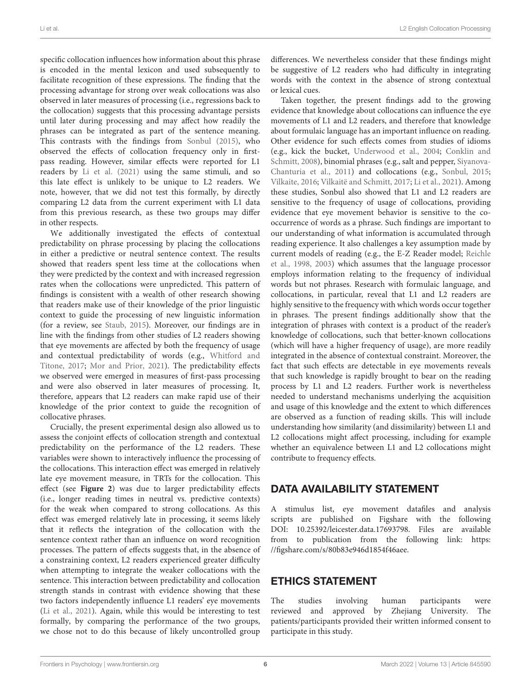specific collocation influences how information about this phrase is encoded in the mental lexicon and used subsequently to facilitate recognition of these expressions. The finding that the processing advantage for strong over weak collocations was also observed in later measures of processing (i.e., regressions back to the collocation) suggests that this processing advantage persists until later during processing and may affect how readily the phrases can be integrated as part of the sentence meaning. This contrasts with the findings from [Sonbul](#page-7-5) [\(2015\)](#page-7-5), who observed the effects of collocation frequency only in firstpass reading. However, similar effects were reported for L1 readers by [Li et al.](#page-6-17) [\(2021\)](#page-6-17) using the same stimuli, and so this late effect is unlikely to be unique to L2 readers. We note, however, that we did not test this formally, by directly comparing L2 data from the current experiment with L1 data from this previous research, as these two groups may differ in other respects.

We additionally investigated the effects of contextual predictability on phrase processing by placing the collocations in either a predictive or neutral sentence context. The results showed that readers spent less time at the collocations when they were predicted by the context and with increased regression rates when the collocations were unpredicted. This pattern of findings is consistent with a wealth of other research showing that readers make use of their knowledge of the prior linguistic context to guide the processing of new linguistic information (for a review, see [Staub,](#page-7-10) [2015\)](#page-7-10). Moreover, our findings are in line with the findings from other studies of L2 readers showing that eye movements are affected by both the frequency of usage and contextual predictability of words (e.g., [Whitford and](#page-7-13) [Titone,](#page-7-13) [2017;](#page-7-13) [Mor and Prior,](#page-6-31) [2021\)](#page-6-31). The predictability effects we observed were emerged in measures of first-pass processing and were also observed in later measures of processing. It, therefore, appears that L2 readers can make rapid use of their knowledge of the prior context to guide the recognition of collocative phrases.

Crucially, the present experimental design also allowed us to assess the conjoint effects of collocation strength and contextual predictability on the performance of the L2 readers. These variables were shown to interactively influence the processing of the collocations. This interaction effect was emerged in relatively late eye movement measure, in TRTs for the collocation. This effect (see **[Figure 2](#page-3-3)**) was due to larger predictability effects (i.e., longer reading times in neutral vs. predictive contexts) for the weak when compared to strong collocations. As this effect was emerged relatively late in processing, it seems likely that it reflects the integration of the collocation with the sentence context rather than an influence on word recognition processes. The pattern of effects suggests that, in the absence of a constraining context, L2 readers experienced greater difficulty when attempting to integrate the weaker collocations with the sentence. This interaction between predictability and collocation strength stands in contrast with evidence showing that these two factors independently influence L1 readers' eye movements [\(Li et al.,](#page-6-17) [2021\)](#page-6-17). Again, while this would be interesting to test formally, by comparing the performance of the two groups, we chose not to do this because of likely uncontrolled group

differences. We nevertheless consider that these findings might be suggestive of L2 readers who had difficulty in integrating words with the context in the absence of strong contextual or lexical cues.

Taken together, the present findings add to the growing evidence that knowledge about collocations can influence the eye movements of L1 and L2 readers, and therefore that knowledge about formulaic language has an important influence on reading. Other evidence for such effects comes from studies of idioms (e.g., kick the bucket, [Underwood et al.,](#page-7-14) [2004;](#page-7-14) [Conklin and](#page-6-32) [Schmitt,](#page-6-32) [2008\)](#page-6-32), binomial phrases (e.g., salt and pepper, [Siyanova-](#page-7-3)[Chanturia et al.,](#page-7-3) [2011\)](#page-7-3) and collocations (e.g., [Sonbul,](#page-7-5) [2015;](#page-7-5) [Vilkaite,](#page-7-2) [2016;](#page-7-2) [Vilkaitë and Schmitt,](#page-7-9) [2017;](#page-7-9) [Li et al.,](#page-6-17) [2021\)](#page-6-17). Among these studies, Sonbul also showed that L1 and L2 readers are sensitive to the frequency of usage of collocations, providing evidence that eye movement behavior is sensitive to the cooccurrence of words as a phrase. Such findings are important to our understanding of what information is accumulated through reading experience. It also challenges a key assumption made by current models of reading (e.g., the E-Z Reader model; [Reichle](#page-6-33) [et al.,](#page-6-33) [1998,](#page-6-33) [2003\)](#page-6-34) which assumes that the language processor employs information relating to the frequency of individual words but not phrases. Research with formulaic language, and collocations, in particular, reveal that L1 and L2 readers are highly sensitive to the frequency with which words occur together in phrases. The present findings additionally show that the integration of phrases with context is a product of the reader's knowledge of collocations, such that better-known collocations (which will have a higher frequency of usage), are more readily integrated in the absence of contextual constraint. Moreover, the fact that such effects are detectable in eye movements reveals that such knowledge is rapidly brought to bear on the reading process by L1 and L2 readers. Further work is nevertheless needed to understand mechanisms underlying the acquisition and usage of this knowledge and the extent to which differences are observed as a function of reading skills. This will include understanding how similarity (and dissimilarity) between L1 and L2 collocations might affect processing, including for example whether an equivalence between L1 and L2 collocations might contribute to frequency effects.

# DATA AVAILABILITY STATEMENT

A stimulus list, eye movement datafiles and analysis scripts are published on Figshare with the following [DOI: 10.25392/leicester.data.17693798.](https://doi.org/DOI: 10.25392/leicester.data.17693798) Files are available from to publication from the following link: [https:](https://figshare.com/s/80b83e946d1854f46aee) [//figshare.com/s/80b83e946d1854f46aee.](https://figshare.com/s/80b83e946d1854f46aee)

# ETHICS STATEMENT

The studies involving human participants were reviewed and approved by Zhejiang University. The patients/participants provided their written informed consent to participate in this study.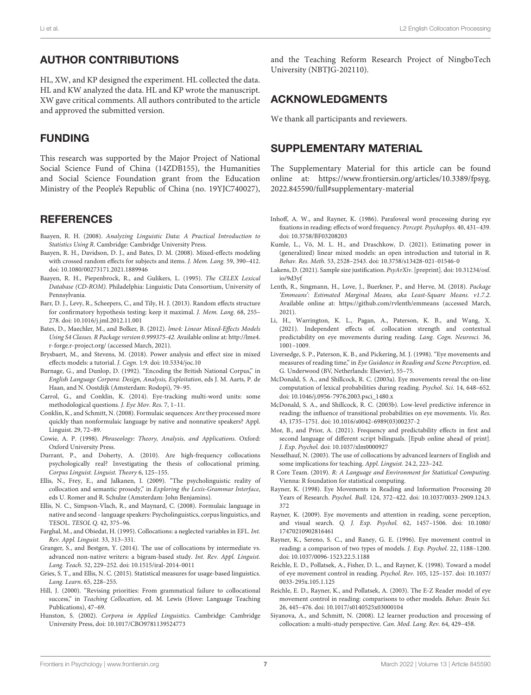# AUTHOR CONTRIBUTIONS

HL, XW, and KP designed the experiment. HL collected the data. HL and KW analyzed the data. HL and KP wrote the manuscript. XW gave critical comments. All authors contributed to the article and approved the submitted version.

# FUNDING

This research was supported by the Major Project of National Social Science Fund of China (14ZDB155), the Humanities and Social Science Foundation grant from the Education Ministry of the People's Republic of China (no. 19YJC740027),

# **REFERENCES**

- <span id="page-6-27"></span>Baayen, R. H. (2008). Analyzing Linguistic Data: A Practical Introduction to Statistics Using R. Cambridge: Cambridge University Press.
- <span id="page-6-22"></span>Baayen, R. H., Davidson, D. J., and Bates, D. M. (2008). Mixed-effects modeling with crossed random effects for subjects and items. J. Mem. Lang. 59, 390–412. [doi: 10.1080/00273171.2021.1889946](https://doi.org/10.1080/00273171.2021.1889946)
- <span id="page-6-20"></span>Baayen, R. H., Piepenbrock, R., and Gulikers, L. (1995). The CELEX Lexical Database (CD-ROM). Philadelphia: Linguistic Data Consortium, University of Pennsylvania.
- <span id="page-6-25"></span>Barr, D. J., Levy, R., Scheepers, C., and Tily, H. J. (2013). Random effects structure for confirmatory hypothesis testing: keep it maximal. J. Mem. Lang. 68, 255– 278. [doi: 10.1016/j.jml.2012.11.001](https://doi.org/10.1016/j.jml.2012.11.001)
- <span id="page-6-24"></span>Bates, D., Maechler, M., and Bolker, B. (2012). lme4: Linear Mixed-Effects Models Using S4 Classes. R Package version 0.999375-42. Available online at: [http://lme4.](http://lme4.r-forge.r-project.org/) [r-forge.r-project.org/](http://lme4.r-forge.r-project.org/) (accessed March, 2021).
- <span id="page-6-29"></span>Brysbaert, M., and Stevens, M. (2018). Power analysis and effect size in mixed effects models: a tutorial. J. Cogn. 1:9. [doi: 10.5334/joc.10](https://doi.org/10.5334/joc.10)
- <span id="page-6-19"></span>Burnage, G., and Dunlop, D. (1992). "Encoding the British National Corpus," in English Language Corpora: Design, Analysis, Exploitation, eds J. M. Aarts, P. de Haan, and N. Oostdijk (Amsterdam: Rodopi), 79–95.
- <span id="page-6-21"></span>Carrol, G., and Conklin, K. (2014). Eye-tracking multi-word units: some methodological questions. J. Eye Mov. Res. 7, 1–11.
- <span id="page-6-32"></span>Conklin, K., and Schmitt, N. (2008). Formulaic sequences: Are they processed more quickly than nonformulaic language by native and nonnative speakers? Appl. Linguist. 29, 72–89.
- <span id="page-6-1"></span>Cowie, A. P. (1998). Phraseology: Theory, Analysis, and Applications. Oxford: Oxford University Press.
- <span id="page-6-4"></span>Durrant, P., and Doherty, A. (2010). Are high-frequency collocations psychologically real? Investigating the thesis of collocational priming. Corpus Linguist. Linguist. Theory 6, 125–155.
- <span id="page-6-3"></span>Ellis, N., Frey, E., and Jalkanen, I. (2009). "The psycholinguistic reality of collocation and semantic prosody," in Exploring the Lexis-Grammar Interface, eds U. Romer and R. Schulze (Amsterdam: John Benjamins).
- <span id="page-6-16"></span>Ellis, N. C., Simpson-Vlach, R., and Maynard, C. (2008). Formulaic language in native and second - language speakers: Psycholinguistics, corpus linguistics, and TESOL. TESOL Q. 42, 375–96.
- <span id="page-6-14"></span>Farghal, M., and Obiedat, H. (1995). Collocations: a neglected variables in EFL. Int. Rev. Appl. Linguist. 33, 313–331.
- <span id="page-6-2"></span>Granger, S., and Bestgen, Y. (2014). The use of collocations by intermediate vs. advanced non-native writers: a bigram-based study. Int. Rev. Appl. Linguist. Lang. Teach. 52, 229–252. [doi: 10.1515/iral-2014-0011](https://doi.org/10.1515/iral-2014-0011)
- <span id="page-6-9"></span>Gries, S. T., and Ellis, N. C. (2015). Statistical measures for usage-based linguistics. Lang. Learn. 65, 228–255.
- <span id="page-6-0"></span>Hill, J. (2000). "Revising priorities: From grammatical failure to collocational success," in Teaching Collocation, ed. M. Lewis (Hove: Language Teaching Publications), 47–69.
- <span id="page-6-10"></span>Hunston, S. (2002). Corpora in Applied Linguistics. Cambridge: Cambridge University Press, [doi: 10.1017/CBO9781139524773](https://doi.org/10.1017/CBO9781139524773)

and the Teaching Reform Research Project of NingboTech University (NBTJG-202110).

# ACKNOWLEDGMENTS

We thank all participants and reviewers.

# SUPPLEMENTARY MATERIAL

The Supplementary Material for this article can be found online at: [https://www.frontiersin.org/articles/10.3389/fpsyg.](https://www.frontiersin.org/articles/10.3389/fpsyg.2022.845590/full#supplementary-material) [2022.845590/full#supplementary-material](https://www.frontiersin.org/articles/10.3389/fpsyg.2022.845590/full#supplementary-material)

- <span id="page-6-7"></span>Inhoff, A. W., and Rayner, K. (1986). Parafoveal word processing during eye fixations in reading: effects of word frequency. Percept. Psychophys. 40, 431–439. [doi: 10.3758/BF03208203](https://doi.org/10.3758/BF03208203)
- <span id="page-6-30"></span>Kumle, L., Vö, M. L. H., and Draschkow, D. (2021). Estimating power in (generalized) linear mixed models: an open introduction and tutorial in R. Behav. Res. Meth. 53, 2528–2543. [doi: 10.3758/s13428-021-01546-0](https://doi.org/10.3758/s13428-021-01546-0)
- <span id="page-6-18"></span>Lakens, D. (2021). Sample size justification. PsyArXiv. [preprint]. [doi: 10.31234/osf.](https://doi.org/10.31234/osf.io/9d3yf) [io/9d3yf](https://doi.org/10.31234/osf.io/9d3yf)
- <span id="page-6-26"></span>Lenth, R., Singmann, H., Love, J., Buerkner, P., and Herve, M. (2018). Package 'Emmeans': Estimated Marginal Means, aka Least-Square Means. v1.7.2. Available online at: <https://github.com/rvlenth/emmeans> (accessed March, 2021).
- <span id="page-6-17"></span>Li, H., Warrington, K. L., Pagan, A., Paterson, K. B., and Wang, X. (2021). Independent effects of. collocation strength and contextual predictability on eye movements during reading. Lang. Cogn. Neurosci. 36, 1001–1009.
- <span id="page-6-28"></span>Liversedge, S. P., Paterson, K. B., and Pickering, M. J. (1998). "Eye movements and measures of reading time," in Eye Guidance in Reading and Scene Perception, ed. G. Underwood (BV, Netherlands: Elsevier), 55–75.
- <span id="page-6-11"></span>McDonald, S. A., and Shillcock, R. C. (2003a). Eye movements reveal the on-line computation of lexical probabilities during reading. Psychol. Sci. 14, 648–652. [doi: 10.1046/j.0956-7976.2003.psci\\_1480.x](https://doi.org/10.1046/j.0956-7976.2003.psci_1480.x)
- <span id="page-6-12"></span>McDonald, S. A., and Shillcock, R. C. (2003b). Low-level predictive inference in reading: the influence of transitional probabilities on eye movements. Vis. Res. 43, 1735–1751. [doi: 10.1016/s0042-6989\(03\)00237-2](https://doi.org/10.1016/s0042-6989(03)00237-2)
- <span id="page-6-31"></span>Mor, B., and Prior, A. (2021). Frequency and predictability effects in first and second language of different script bilinguals. [Epub online ahead of print]. J. Exp. Psychol. [doi: 10.1037/xlm0000927](https://doi.org/10.1037/xlm0000927)
- <span id="page-6-15"></span>Nesselhauf, N. (2003). The use of collocations by advanced learners of English and some implications for teaching. Appl. Linguist. 24.2, 223–242.
- <span id="page-6-23"></span>R Core Team. (2019). R: A Language and Environment for Statistical Computing. Vienna: R foundation for statistical computing.
- <span id="page-6-5"></span>Rayner, K. (1998). Eye Movements in Reading and Information Processing 20 Years of Research. Psychol. Bull. 124, 372–422. [doi: 10.1037/0033-2909.124.3.](https://doi.org/10.1037/0033-2909.124.3.372) [372](https://doi.org/10.1037/0033-2909.124.3.372)
- <span id="page-6-6"></span>Rayner, K. (2009). Eye movements and attention in reading, scene perception, and visual search. Q. J. Exp. Psychol. 62, 1457–1506. [doi: 10.1080/](https://doi.org/10.1080/17470210902816461) [17470210902816461](https://doi.org/10.1080/17470210902816461)
- <span id="page-6-8"></span>Rayner, K., Sereno, S. C., and Raney, G. E. (1996). Eye movement control in reading: a comparison of two types of models. J. Exp. Psychol. 22, 1188–1200. [doi: 10.1037/0096-1523.22.5.1188](https://doi.org/10.1037/0096-1523.22.5.1188)
- <span id="page-6-33"></span>Reichle, E. D., Pollatsek, A., Fisher, D. L., and Rayner, K. (1998). Toward a model of eye movement control in reading. Psychol. Rev. 105, 125–157. [doi: 10.1037/](https://doi.org/10.1037/0033-295x.105.1.125) [0033-295x.105.1.125](https://doi.org/10.1037/0033-295x.105.1.125)
- <span id="page-6-34"></span>Reichle, E. D., Rayner, K., and Pollatsek, A. (2003). The E-Z Reader model of eye movement control in reading: comparisons to other models. Behav. Brain Sci. 26, 445–476. [doi: 10.1017/s0140525x03000104](https://doi.org/10.1017/s0140525x03000104)
- <span id="page-6-13"></span>Siyanova, A., and Schmitt, N. (2008). L2 learner production and processing of collocation: a multi-study perspective. Can. Mod. Lang. Rev. 64, 429–458.